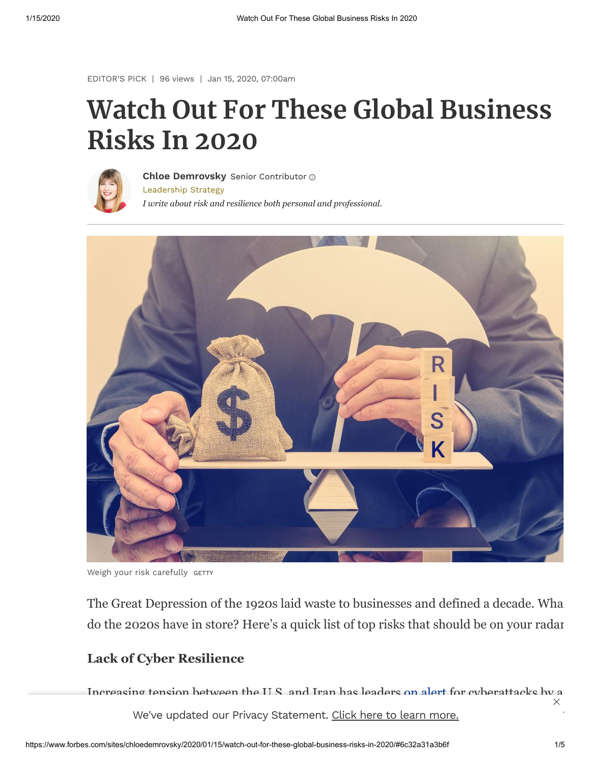[EDITOR'S PICK](https://www.forbes.com/editors-picks) | 96 views | Jan 15, 2020, 07:00am

# **Watch Out For These Global Business Risks In 2020**



[Leadership Strategy](https://www.forbes.com/leadership-strategy) *I write about risk and resilience both personal and professional.* **[Chloe Demrovsky](https://www.forbes.com/sites/chloedemrovsky/)** Senior Contributor



GETTY Weigh your risk carefully

The Great Depression of the 1920s laid waste to businesses and defined a decade. Wha do the 2020s have in store? Here's a quick list of top risks that should be on your radar

#### **Lack of Cyber Resilience**

Increasing tension between the  $\overline{I}$  S and Iran has leaders [on alert](https://www.inforisktoday.com/blogs/iranian-cyberattacks-10-must-have-defenses-p-2848?rf=2020-01-08_ENEWS_ACQ_IR__Slot1_BLOG2848&mkt_tok=eyJpIjoiWWpReVlUWmpNek5rTURBeSIsInQiOiI1VHJJcGZERm4wWDJWVVBtSlczcEM4R1YyWHJIVUlUek04bUdzblwvWjdCOVhvalgyYTVjQUZyUHpjb3VKU3REbU8zb042dWM2RHhQemNhZGNYSTZJMERQOTI3T0doMkcwOW90Rnpyb1wvb3d0N2M4dE91MFQ1c25MbWJmNjNVQkQ2In0%3D) for cyberattacks by a We've updated our Privacy Statement. Click here to learn more.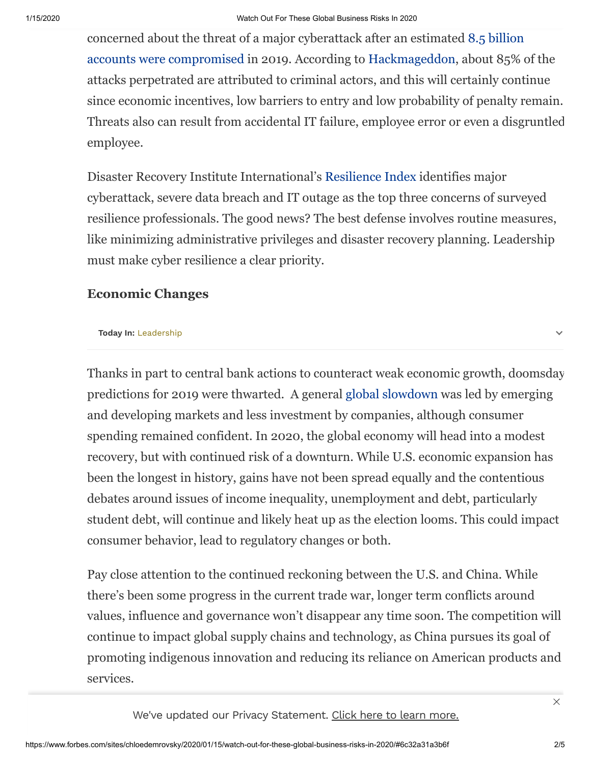[concerned about the threat of a major cyberattack after an estimated 8.5 billion](https://www.cnbc.com/2019/12/17/the-5-biggest-data-hacks-of-2019.html) accounts were compromised in 2019. According to [Hackmageddon,](https://www.hackmageddon.com/category/security/cyber-attacks-statistics/) about 85% of the attacks perpetrated are attributed to criminal actors, and this will certainly continue since economic incentives, low barriers to entry and low probability of penalty remain. Threats also can result from accidental IT failure, employee error or even a disgruntled employee.

Disaster Recovery Institute International's [Resilience Index](https://drive.drii.org/2020/01/14/dris-global-risk-and-resilience-trends-report-the-top-8-resilience-trends/) identifies major cyberattack, severe data breach and IT outage as the top three concerns of surveyed resilience professionals. The good news? The best defense involves routine measures, like minimizing administrative privileges and disaster recovery planning. Leadership must make cyber resilience a clear priority.

## **Economic Changes**

#### **Today In:** [Leadership](https://www.forbes.com/leadership-strategy)

Thanks in part to central bank actions to counteract weak economic growth, doomsday predictions for 2019 were thwarted. A general [global slowdown](https://blogs.imf.org/2019/12/18/2019-in-review-the-global-economy-explained-in-5-charts/) was led by emerging and developing markets and less investment by companies, although consumer spending remained confident. In 2020, the global economy will head into a modest recovery, but with continued risk of a downturn. While U.S. economic expansion has been the longest in history, gains have not been spread equally and the contentious debates around issues of income inequality, unemployment and debt, particularly student debt, will continue and likely heat up as the election looms. This could impact consumer behavior, lead to regulatory changes or both.

Pay close attention to the continued reckoning between the U.S. and China. While there's been some progress in the current trade war, longer term conflicts around values, influence and governance won't disappear any time soon. The competition will continue to impact global supply chains and technology, as China pursues its goal of promoting indigenous innovation and reducing its reliance on American products and services.

We've updated our Privacy Statement. Click here to learn [more.](https://www.forbes.com/privacy/english/)

 $\times$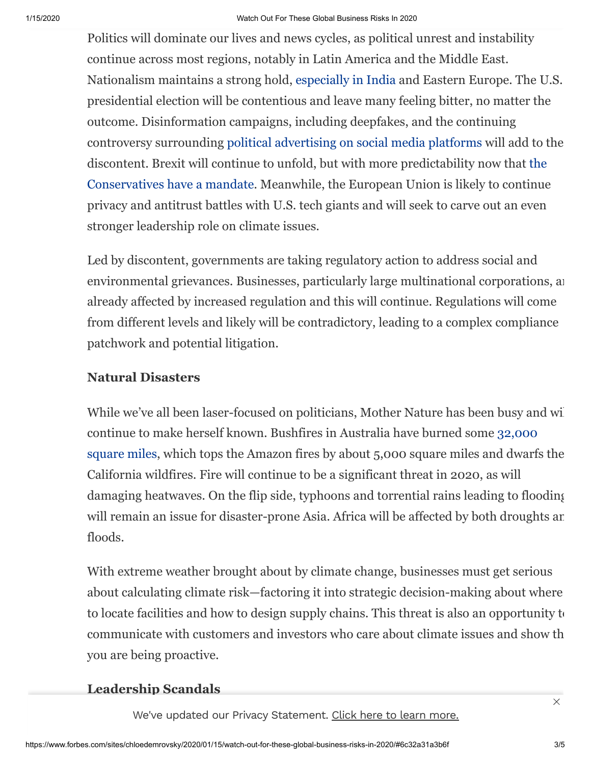#### 1/15/2020 Watch Out For These Global Business Risks In 2020

Politics will dominate our lives and news cycles, as political unrest and instability continue across most regions, notably in Latin America and the Middle East. Nationalism maintains a strong hold, [especially in India](https://thediplomat.com/2019/12/the-new-nationalism-in-modis-india/) and Eastern Europe. The U.S. presidential election will be contentious and leave many feeling bitter, no matter the outcome. Disinformation campaigns, including deepfakes, and the continuing controversy surrounding [political advertising on social media platforms](https://about.fb.com/news/2020/01/political-ads/) will add to the discontent. Brexit will continue to unfold, but with more predictability now that the [Conservatives have a mandate. Meanwhile, the European Union is likely to continue](https://apnews.com/f972f14e0fdaf579c43dd3e2ea36bfd4) privacy and antitrust battles with U.S. tech giants and will seek to carve out an even stronger leadership role on climate issues.

Led by discontent, governments are taking regulatory action to address social and environmental grievances. Businesses, particularly large multinational corporations, ar already affected by increased regulation and this will continue. Regulations will come from different levels and likely will be contradictory, leading to a complex compliance patchwork and potential litigation.

#### **Natural Disasters**

While we've all been laser-focused on politicians, Mother Nature has been busy and will [continue to make herself known. Bushfires in Australia have burned some 32,000](https://www.nbcnews.com/news/world/australia-wildfire-bushfire-size-2020-n1112006) square miles, which tops the Amazon fires by about 5,000 square miles and dwarfs the California wildfires. Fire will continue to be a significant threat in 2020, as will damaging heatwaves. On the flip side, typhoons and torrential rains leading to flooding will remain an issue for disaster-prone Asia. Africa will be affected by both droughts an floods.

With extreme weather brought about by climate change, businesses must get serious about calculating climate risk—factoring it into strategic decision-making about where to locate facilities and how to design supply chains. This threat is also an opportunity to communicate with customers and investors who care about climate issues and show th you are being proactive.

## **Leadership Scandals**

We've updated our Privacy Statement. Click here to learn [more.](https://www.forbes.com/privacy/english/)

 $\times$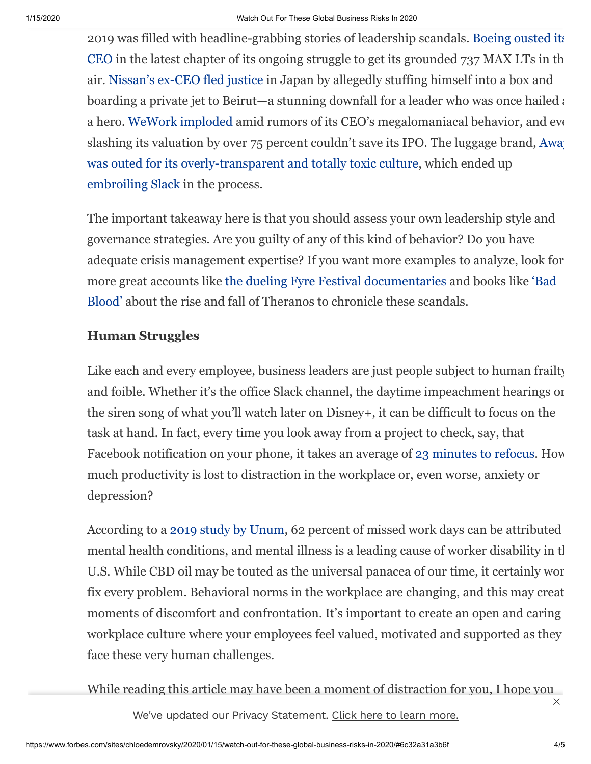[2019 was filled with headline-grabbing stories of leadership scandals. Boeing ousted its](https://apnews.com/a1bca4555d49900036dc94c6bd46722d) CEO in the latest chapter of its ongoing struggle to get its grounded 737 MAX LTs in th air. [Nissan's ex-CEO fled justice](https://www.cbsnews.com/news/carlos-ghosn-calls-himself-a-fugitive-of-injustice/) in Japan by allegedly stuffing himself into a box and boarding a private jet to Beirut—a stunning downfall for a leader who was once hailed  $\epsilon$ a hero. [WeWork imploded](https://www.vanityfair.com/news/2019/11/inside-the-fall-of-wework) amid rumors of its CEO's megalomaniacal behavior, and eve [slashing its valuation by over 75 percent couldn't save its IPO. The luggage brand, Away](https://www.theverge.com/2019/12/5/20995453/away-luggage-ceo-steph-korey-toxic-work-environment-travel-inclusion?utm_campaign=The%20Interface&utm_medium=email&utm_source=Revue%20newsletter) was outed for its overly-transparent and totally toxic culture, which ended up [embroiling Slack](https://www.theverge.com/2019/12/10/21002881/away-steph-korey-resigns-slack-platform-incentives) in the process.

The important takeaway here is that you should assess your own leadership style and governance strategies. Are you guilty of any of this kind of behavior? Do you have adequate crisis management expertise? If you want more examples to analyze, look for [more great accounts like](https://www.nytimes.com/2018/05/21/books/review/bad-blood-john-carreyrou.html) [the dueling Fyre Festival documentaries](https://www.tvguide.com/news/which-fyre-fest-documentary-should-you-watch-hulu-netflix/) [and books like 'Bad](https://www.nytimes.com/2018/05/21/books/review/bad-blood-john-carreyrou.html) Blood' about the rise and fall of Theranos to chronicle these scandals.

## **Human Struggles**

Like each and every employee, business leaders are just people subject to human frailty and foible. Whether it's the office Slack channel, the daytime impeachment hearings or the siren song of what you'll watch later on Disney+, it can be difficult to focus on the task at hand. In fact, every time you look away from a project to check, say, that Facebook notification on your phone, it takes an average of [23 minutes to refocus](https://www.weforum.org/agenda/2019/04/the-modern-workplace-is-hopelessly-distracting-and-its-costing-us-time-and-money/). How much productivity is lost to distraction in the workplace or, even worse, anxiety or depression?

According to a [2019 study by Unum,](https://www.businesswire.com/news/home/20190327005079/en/) 62 percent of missed work days can be attributed mental health conditions, and mental illness is a leading cause of worker disability in th U.S. While CBD oil may be touted as the universal panacea of our time, it certainly won fix every problem. Behavioral norms in the workplace are changing, and this may creat moments of discomfort and confrontation. It's important to create an open and caring workplace culture where your employees feel valued, motivated and supported as they face these very human challenges.

While reading this article may have been a moment of distraction for you, I hope you

 $\times$  We've updated our Privacy Statement. <u>Click here to learn more.</u>